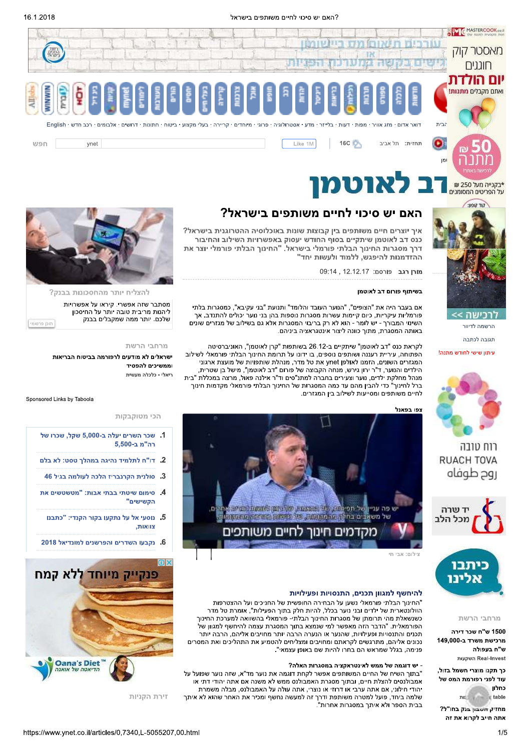



הרשמה לדיוור

תגובה לכתבה

רוח טובה **RUACH TOVA** 

מרחבי הרשת

1500 ש"ח שכר דירה

ש"ח בעפולה Real-Invest השקעות

מרכישת משרד ב-149,000

כך תקנו מוצרי חשמל בזול,

עוד לפני רפורמת המס של

 $10^{+0.000}_{-0.000}$ 

מחזיק השבה בנק בחו"ל? אתה חייב לקרוא את זה

روح طوفاه

יד שרה

מכל הלב

<u>ויתוו שישי לחודש מתנה!</u>

# האם יש סיכוי לחיים משותפים בישראל?

איך יוצרים חיים משותפים בין קבוצות שונות באוכלוסיה ההטרוגנית בישראל? כנס דב לאוטמן שיתקיים בסוף החודש יעסוק באפשרויות השילוב והחיבור דרך מסגרות החינוך הבלתי פורמלי בישראל. "החינוך הבלתי פורמלי יוצר את ההזדמנות להיפגש, ללמוד ולעשות יחד"

מורן רגב פורסם: 12.12.17, 09:14

#### בשיתוף פורום דב לאוטמו

אם בעבר היה את "הצופים", "הנוער העובד והלומד" ותנועת "בני עקיבא", כמסגרות בלתי פורמליות עיקריות, כיום קיימות עשרות מסגרות נוספות בהן בני נוער יכולים להתנדב. אך השינוי המבורך - יש לומר - הוא לא רק בריבוי המסגרות אלא גם בשילוב של מגזרים שונים באותה המסגרת, מתוך כוונה ליצור אינטגראציה ביניהם.

לקראת כנס "דב לאוטמן" שיתקיים ב-26.12 בשותפות "קרן לאוטמן", האוניברסיטה הפתוחה, עיריית רעננה ושותפים נוספים, בו ידונו על תרומת החינוך הבלתי פורמאלי לשילוב המגזרים השונים, הזמנו לאולפן ynet את טל מדר, מנהלת שותפויות של מועצת ארגוני הילדים והנוער, ד"ר ירון גירש, מנחה הקבוצה של פורום "דב לאוטמן", מישל בן שטרית, מנהל מחלקת ילדים, נוער וצעירים בחברה למתנ"סים וד"ר אילנה פאול, מרצה במכללת "בית ------------------<br>ברל לחינוך" כדי להבין מהם עד כמה המסגרות של החינוך הבלתי פורמאלי מקדמות חינוך .<br>לחיים משותפים ומסייעות לשילוב בין המגזרים.

נפו בפאנל



# להיחשף למגוון תכנים, התנסויות ופעילויות

"החינוך הבלתי פורמאלי נשען על הבחירה החופשית של החניכים ועל ההצטרפות הוולונטארית של ילדים ובני נוער בכלל. להיות חלק בתור הפעילות". אומרת טל מדר כשנשאלת מהי תרומתן של מסגרות החינוך הבלתי- פורמאלי בהשוואה למערכת החינוך הפורמאלית. "הדבר הזה מאפשר למי שנמצא בתוך המסגרת עצמה להיחשף למגוון של תכנים והתנסויות ופעילויות. שהנער או הנערה הרבה יותר מחויבים אליהם. הרבה יותר נכונים אליהם, מתרגשים לקראתם ומחויבים ומצליחים להטמיע את התהליכים ואת המסרים פנימה, בגלל שמראש הם בחרו להיות שם באופן עצמאי".

### - יש דוגמה של ממש לאינטראקציה במסגרות האלה?

"בתוך השיח של החיים המשותפים אפשר לקחת דוגמה את נוער מד"א, שזה נוער שפועל על אמבולנסים להצלת חיים, ובתוך מסגרת האמבולנס ממש לא משנה אם אתה יהודי דתי או יהודי חילוני, אם אתה ערבי או דרוזי או נוצרי, אתה עולה על האמבולנס, מבלה משמרת שלמה ביחד, פועל למטרה משותפת ודרך זה למעשה נחשף ומכיר את האחר שהוא לא איתך בבית הספר ולא איתך במסגרות אחרות".



להצליח יותר מהחסכונות בבנק?

מסתבר שזה אפשרי. קיראו על אפשרויות ליהנות מריבית טובה יותר על החיסכון שלכם. יותר ממה שמקבלים בבנק

מרחבי הרשת

ישראלים לא מודעים לרפורמה בביטוח הבריאות וממשיכים להפסיד ריאלי - כלכלה מעשית

Sponsored Links by Taboola

תוכו פרסומי |

#### הכי מטוקבקות

- 1. שכר השרים יעלה ב-5,000 שקל, שכרו של רה"מ ב-5.00
- 2. דו"ח לתלמיד נהיגה במהלך טסט: לא בלם
	- 3. סולנית הקרנבריז הלכה לעולמה בגיל 46
- 4. סימום שיטתי בבתי אבות: "מטשטשים את "הקשישים
- 5. נוסעי אל על נתקעו בקור הקנדי: "כתבנו צוואות.
- 6. נקבעו השדרים והפרשנים למונדיאל 2018



זירת הקניות



כחלון

table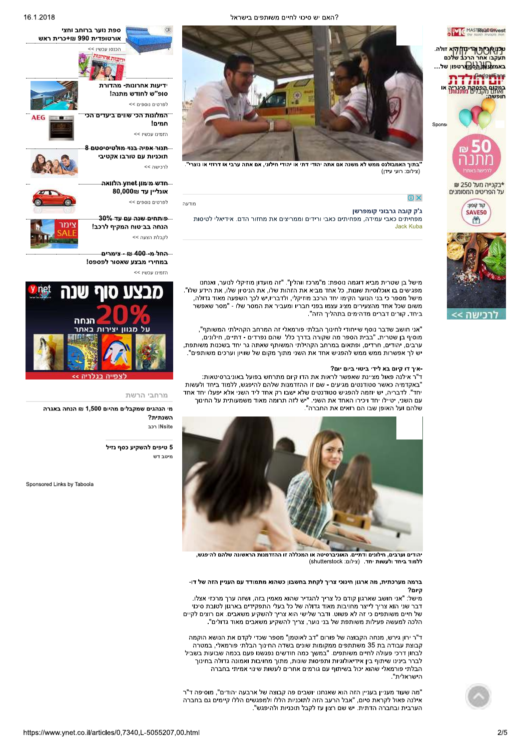ט<mark>רו</mark>וארית הריתלודי<mark>א זולה.</mark>

באמצ<mark>עות הסמא</mark>רטפון של…

<del>י האדום הפסידת היגרות</del> או

\*בקנייה מעל 250 ₪

על הפריטים המסומנים

**FILL LIGHT** 

SAVE50

m

GadgetEans

שלכם

Spor

ספת נוער ברוחב וחצי אורטופדית 990 ₪+כרית ראש<br>ייטופדית 990 ₪+כרית ראש



ידיעות אחרונות- מהדורת סופ"ש לחודש מתנה! לפרטים נוספים >>

המלונות הכי שווים ביעדים הכי " חמים! הזמינו עכשיו >>

בתנור אפיה בנוי מולטיסיסטם 8 תוכניות עם טורבו אקטיבי



<u>הדש מימון vnet הלוואה....</u> 80,000₪ אונליין עד

לפרטים נוספים >>

לרכישה >>

 $n$ ודעה

<u>.... פותחים שנה עם עד 30%....</u> הנחה בביטוח המקיף לרכב! .<br>לקבלת הצעה >>

alany an 400 n ton... במחירי מבצע שאסור לפספס!

<< <sub>אונו</sub> עכשיו



מרחבי הרשת

מי הנהגים שמקבלים מהיום 1.500 ₪ הנחה באגרה השנתית? non INsite

> 5 טיפים להשקיע כסף נזיל .<br>מינור דוע

Sponsored Links by Taboola



.<br>בתוך האמבולנס ממש לא משנה אם אתה יהודי דתי או יהודי חילוני, אם אתה ערבי או דרוזי או נוצרי" (צילום: רועי עידן)

# $\odot$   $\times$

### ג'ק קובה גרבוני קומפרשן

מפחיתים כאבי עמידה, מפחיתים כאבי ורידים וממריצים את מחזור הדם. אידיאלי לטיסות Jack Kuba



מישל בן שטרית מביא דוגמה נוספת: מ"מרכז ווהלין". "זה מועדון מוזיקלי לנוער, ואנחנו מפגישים בו אוכלוסיות שונות, כל אחד מביא את הזהות שלו, את הניסיון שלו, את הידע שלו". מישל מספר כי בני הנוער הקימו יחד הרכב מוזיקלי, ולדבריו, ש לכך השפעה מאוד גדולה, משום שכל אחד מהצעירים מציג עצמו בפני חבריו ומעביר את המסר שלו - "מסר שאפשר ביחד. קורים דברים מדהימים בתהליך הזה".

"אני חושב שדבר נוסף שייחודי לחינוך הבלתי פורמאלי זה המרחב הקהילתי המשותף", מוסיף בן שטרית. "בבית הספר מה שקורה בדרך כלל שהם נפרדים - דתיים, חילונים, ערבים, יהודים, חרדים, ופתאום במרחב הקהילתי המשותף שאתה גר יחד בשכנות משותפת, יש לך אפשרות ממש ממש להפגיש אחד את השני מתוך מקום של שוויון וערכים משותפים".

### -איך דו קיום בא לידי ביטוי ביום יום?

ד"ר אילנה פאול מציינת שאפשר לראות את הדו קיום מתרחש בפועל באוניברסיטאות: "באקדמיה כאשר סטודנטים מגיעים - שם זו ההזדמנות שלהם להיפגש, ללמוד ביחד ולעשות יחד". לדבריה, יש יוזמה להפגיש סטודנטים שלא ישבו רק אחד ליד השני אלא יפעלו יחד אחד .<br>עם השני, יטיילו יחד ויכירו האחד את השני. "יש לזה תרומה מאוד משמעותית על החינוך שלהם ועל האופן שבו הם רואים את החברה".



יהודים וערבים, חילונים ודתיים. האוניברסיטה או המכללה זו ההזדמנות הראשונה שלהם להיפגש, ללמוד ביחד ולעשות יחד. (צילום: shutterstock)

### ברמה מערכתית, מה ארגון חינוכי צריך לקחת בחשבון כשהוא מתמודד עם העניין הזה של דו-היום?

.<br>מישל: "אני חושב שארגון קודם כל צריך להגדיר שהוא מאמין בזה, ושזה ערך מרכזי אצלו. דבר שני הוא צריך לייצר מחויבות מאוד גדולה של כל בעלי התפקידים בארגון לטובת סיכוי של חיים משותפים כי זה לא פשוט. ודבר שלישי הוא צריך להשקיע משאבים. אם רוצים לקיים הלכה למעשה פעילות משותפת של בני נוער, צריך להשקיע משאבים מאוד גדולים".

ד"ר ירון גירש, מנחה הקבוצה של פורום "דב לאוטמן" מספר שכדי לקדם את הנושא הוקמה קבוצת עבודה בת 35 משתתפים ממקומות שונים בשדה החינוך הבלתי פורמאלי, במטרה .<br>לבחון דרכי פעולה לחיים משותפים. "במשר כמה חודשים נפגשנו פעם בכמה שבועות בשביל לברר בינינו שיתוף בין אידיאולוגיות ותפיסות שונות, מתוך מחויבות ואמונה גדולה בחינוך הבלתי פורמאלי שהוא יכול בשיתוף עם גורמים אחרים לעשות שינוי אמיתי בחברה הישראלית".

"מה שעוד מעניין בעניין הזה הוא שאנחנו יושבים פה קבוצה של ארבעה יהודים", מוסיפה ד"ר אילנה פאול לקראת סיום, "אבל הרעב הזה לתוכניות הללו ולמפגשים הללו קיימים גם בחברה .<br>הערבית ובחברה הדתית. יש שם רצון עז לקבל תוכניות ולהיפגש".



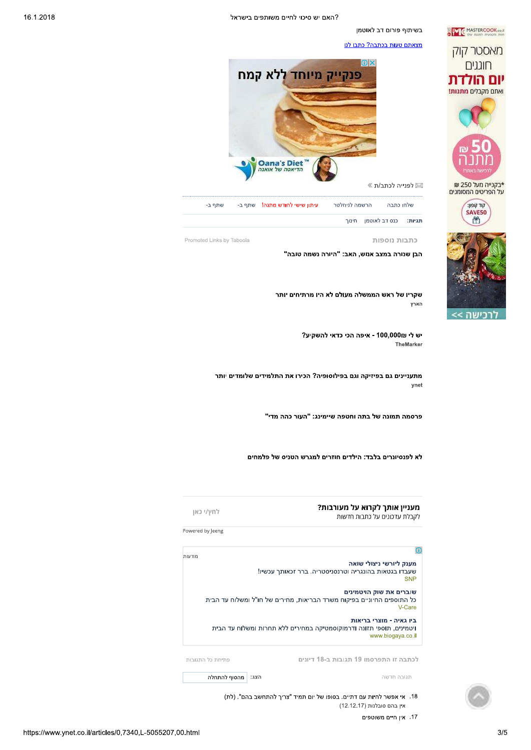בשיתוף פורום דב לאוטמן

ME MASTERCOOK.co.

מאסטר קוק

חונגים

יום הולדת ואחם מקרלים מתנות!

\*בקנייה מעל 250 ₪

על הפריטים המסומנים

**FILL LIGHT** 

SAVE50

凿

<u>מצאתם טעות בכתבה? כתבו לנו</u>



הרשמה לניוזלטר עיתון שישי לחודש מתנה! שתף ב-שלחו כתבה שתף ב-כנס דב לאוטמן חינוך תגיות:

כתבות נוספות

הבן שנורה במצב אנוש, האב: "היורה נשמה טובה"

שקריו של ראש הממשלה מעולם לא היו מרתיחים יותר הארץ

> יש לי ⊞100,000 - איפה הכי כדאי להשקיע? TheMarker

מתעניינים גם בפיזיקה וגם בפילוסופיה? הכירו את התלמידים שלומדים יותר ynet

פרסמה תמונה של בתה וחטפה שיימינג: "העור כהה מדי"

לא לפנסיונרים בלבד: הילדים חוזרים למגרש הטניס של פלמחים

מעניין אותך לקרוא על מעורבות?

לקבלת עדכונים על כתבות חדשות

לחץ/י כאן Powered by Jeeng

Promoted Links by Taboola

 $\overline{0}$  $n$ מענק ליורשי ניצולי שואה שעבדו בגטאות בהונגריה וטרנסניסטריה. ברר זכאותך עכשיו! SNP שוברים את שוק הויטמינים .<br>כל התוספים החיוניים בפיקוח משרד הבריאות, מחירים של חו"ל ומשלוח עד הבית V-Care ביו גאיה - מוצרי בריאות ויטמינים, תוספי תזונה ודרמוקוסמטיקה במחירים ללא תחרות ומשלוח עד הבית www.biogaya.co.il לכתבה זו התפרסמו 19 תגובות ב-18 דיונים פתיחת כל התגובות

תגובה חדשה

הצג: | מהסוף להתחלה

18. אי אפשר לחיות עם דתיים. בסופו של יום תמיד "צריך להתחשב בהם". (לת) אין בהם סובלנות (12.12.17)

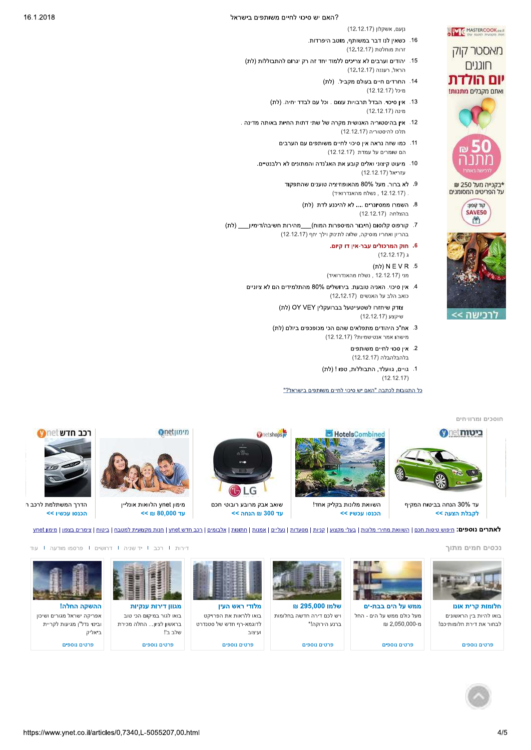נןעם, אשקלון (12.12.17)

MASTERCOOK.co.

מאסטר קוק

חונגים

יום הולדת

ואתם מקבלים **מתנות!** 

\*בקנייה מעל 250 ₪ על הפריטים המסומנים

> **FILL LIGHT** SAVE50

> > 凿

ררישה

- 16. כשאין לנו דבר במשותף, מוטב היפרדות. זרות מוחלטת (12.12.17)
- 15. יהודים וערבים לא צריכים ללמוד יחד זה רק יגרום להתבוללות (לת) הראל, רעננה (12.12.17)
	- 14. החרדים חיים בעולם מקביל. (לת) מיכל (12.12.17)
	- 13. אין סיכוי. הבדל תרבויות עצום . וכל עם לבדד יחיה. (לת) (12.12.17) מינה
- .<br>12. אין בהיסטוריה האנושית מקרה של שתי דתות החיות באותה מדינה . תלכו להיסטוריה (12.12.17)
	- 11. כמו שזה נראה אין סיכוי לחיים משותפים עם הערבים הם שומרים על עמדת (12.12.17)
	- 10. מיעוט קיצוני ואלים קובע את האג'נדה והמתונים לא רלבנטיים. עזריאל (12.12.17)
		- 9. לא ברור. מעל 80% מהאופוזיציה טוענים שהתפקוד . (12.12.17 , נשלח מהאנדרואיד)
			- 8. השמרו ממסיונרים .... לא להיכנע לדת (לת) בהצלחה (12.12.17)
- 7. קורפוס קלוסום (חיבור המיספרות המוח)\_\_\_מהירות חשיבה/דימיון\_\_\_ (לת) בהריון ואחריו מוסיקה, שלוה לתינוק וילך יחף (12.12.17)
	- 6. חוק המרכולים עבר-איו דו קיום.  $(12.12.17)$  x
	- 5. NEVR (לת) מני (12.12.17 , נשלח מהאנדרואיד)
	- 4. אין סיכוי. האניה טובעת. בירושלים 80% מהתלמידים הם לא ציוניים כואב הלב על האנשים (12.12.17)
		- (לת) OY VEY צודק שיחזרו לשטעייטעל בברועקלין שיקצע (12.12.17)
		- 3. אח"כ היהודים מתפלאים שהם הכי מכופכפים ביולם (לת) מישהו אמר אנטישמיות? (12.12.17)
			- 2. איו סכוי לחיים משותפים בלהבלהבלה (12.12.17)
			- 1. גויים, גוועלד, התבוללות, טפו! (לת)  $(12.12.17)$

כל התגובות לכתבה "האם יש סיכוי לחיים משותפים בישראל?"





נכסים חמים מתוך



חלומות קרית אונו בואו להיות ביו הראשונים לבחור את דירת חלומותיכם!

פרטים נוספים



מעל כולם ממש על הים - החל m 2.050.000-n

פרטים נוספים



ויש לכם דירה חדשה בחלומות

ברנע הירוקה!\*

פרטים נוספים

לאתרים נוספים: <u>חיפוש טיסות חכם | השוואת מחירי מלונות | בעלי מקצוע | קניות | מסטדות | ממנח | מלבומים | כבב חדש ynet | מנות מקצועית למטבח | ביטוח | צימרים בצפון | מימון ynet | מנות מקצועית למטבח | ביטוח | צימרים בצפון | מי</u>

מלודי ראש העין בואו ללראות את הפרויקט לדוגמא-רף חדש של סטנדרט ועיצוב

פרטים נוספים



בראשון לציון... החלה מכירת שלב ב"!



דירות 1 רכב 1 יד שניה 1 דרושים 1 פרסמו מודעה 1 עוד

פרטים נוספים

ובינוי נדל"ן מגיעות לקריית







פרטים נוספים



ביאליק